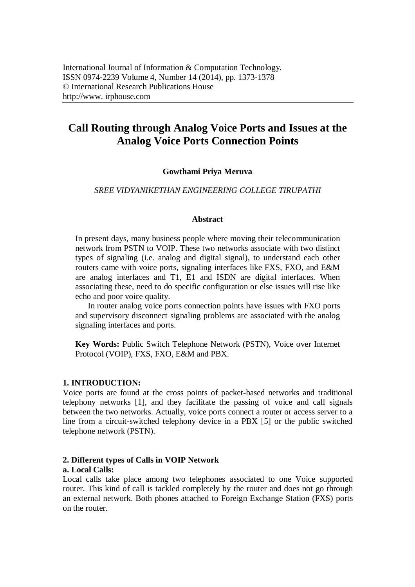# **Call Routing through Analog Voice Ports and Issues at the Analog Voice Ports Connection Points**

### **Gowthami Priya Meruva**

#### *SREE VIDYANIKETHAN ENGINEERING COLLEGE TIRUPATHI*

#### **Abstract**

In present days, many business people where moving their telecommunication network from PSTN to VOIP. These two networks associate with two distinct types of signaling (i.e. analog and digital signal), to understand each other routers came with voice ports, signaling interfaces like FXS, FXO, and E&M are analog interfaces and T1, E1 and ISDN are digital interfaces. When associating these, need to do specific configuration or else issues will rise like echo and poor voice quality.

In router analog voice ports connection points have issues with FXO ports and supervisory disconnect signaling problems are associated with the analog signaling interfaces and ports.

**Key Words:** Public Switch Telephone Network (PSTN), Voice over Internet Protocol (VOIP), FXS, FXO, E&M and PBX.

#### **1. INTRODUCTION:**

Voice ports are found at the cross points of packet-based networks and traditional telephony networks [1], and they facilitate the passing of voice and call signals between the two networks. Actually, voice ports connect a router or access server to a line from a circuit-switched telephony device in a PBX [5] or the public switched telephone network (PSTN).

### **2. Different types of Calls in VOIP Network**

#### **a. Local Calls:**

Local calls take place among two telephones associated to one Voice supported router. This kind of call is tackled completely by the router and does not go through an external network. Both phones attached to Foreign Exchange Station (FXS) ports on the router.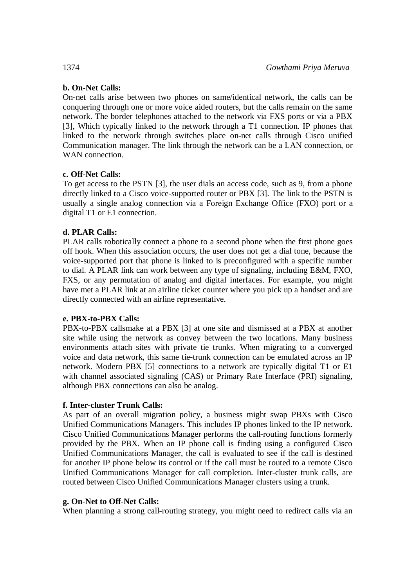# **b. On-Net Calls:**

On-net calls arise between two phones on same/identical network, the calls can be conquering through one or more voice aided routers, but the calls remain on the same network. The border telephones attached to the network via FXS ports or via a PBX [3], Which typically linked to the network through a T1 connection. IP phones that linked to the network through switches place on-net calls through Cisco unified Communication manager. The link through the network can be a LAN connection, or WAN connection.

# **c. Off-Net Calls:**

To get access to the PSTN [3], the user dials an access code, such as 9, from a phone directly linked to a Cisco voice-supported router or PBX [3]. The link to the PSTN is usually a single analog connection via a Foreign Exchange Office (FXO) port or a digital T1 or E1 connection.

# **d. PLAR Calls:**

PLAR calls robotically connect a phone to a second phone when the first phone goes off hook. When this association occurs, the user does not get a dial tone, because the voice-supported port that phone is linked to is preconfigured with a specific number to dial. A PLAR link can work between any type of signaling, including E&M, FXO, FXS, or any permutation of analog and digital interfaces. For example, you might have met a PLAR link at an airline ticket counter where you pick up a handset and are directly connected with an airline representative.

# **e. PBX-to-PBX Calls:**

PBX-to-PBX callsmake at a PBX [3] at one site and dismissed at a PBX at another site while using the network as convey between the two locations. Many business environments attach sites with private tie trunks. When migrating to a converged voice and data network, this same tie-trunk connection can be emulated across an IP network. Modern PBX [5] connections to a network are typically digital T1 or E1 with channel associated signaling (CAS) or Primary Rate Interface (PRI) signaling, although PBX connections can also be analog.

# **f. Inter-cluster Trunk Calls:**

As part of an overall migration policy, a business might swap PBXs with Cisco Unified Communications Managers. This includes IP phones linked to the IP network. Cisco Unified Communications Manager performs the call-routing functions formerly provided by the PBX. When an IP phone call is finding using a configured Cisco Unified Communications Manager, the call is evaluated to see if the call is destined for another IP phone below its control or if the call must be routed to a remote Cisco Unified Communications Manager for call completion. Inter-cluster trunk calls, are routed between Cisco Unified Communications Manager clusters using a trunk.

### **g. On-Net to Off-Net Calls:**

When planning a strong call-routing strategy, you might need to redirect calls via an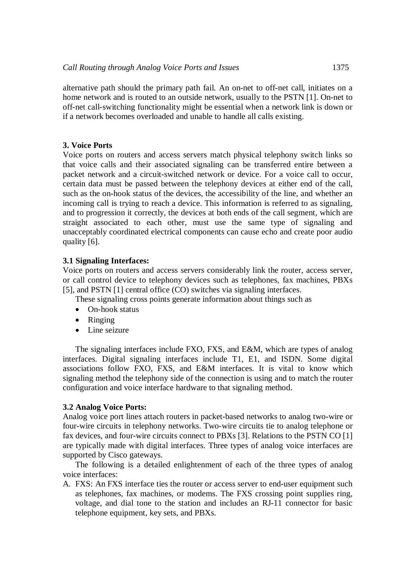alternative path should the primary path fail. An on-net to off-net call, initiates on a home network and is routed to an outside network, usually to the PSTN [1]. On-net to off-net call-switching functionality might be essential when a network link is down or if a network becomes overloaded and unable to handle all calls existing.

## **3. Voice Ports**

Voice ports on routers and access servers match physical telephony switch links so that voice calls and their associated signaling can be transferred entire between a packet network and a circuit-switched network or device. For a voice call to occur, certain data must be passed between the telephony devices at either end of the call, such as the on-hook status of the devices, the accessibility of the line, and whether an incoming call is trying to reach a device. This information is referred to as signaling, and to progression it correctly, the devices at both ends of the call segment, which are straight associated to each other, must use the same type of signaling and unacceptably coordinated electrical components can cause echo and create poor audio quality [6].

## **3.1 Signaling Interfaces:**

Voice ports on routers and access servers considerably link the router, access server, or call control device to telephony devices such as telephones, fax machines, PBXs [5], and PSTN [1] central office (CO) switches via signaling interfaces.

These signaling cross points generate information about things such as

- On-hook status
- Ringing
- Line seizure

The signaling interfaces include FXO, FXS, and E&M, which are types of analog interfaces. Digital signaling interfaces include T1, E1, and ISDN. Some digital associations follow FXO, FXS, and E&M interfaces. It is vital to know which signaling method the telephony side of the connection is using and to match the router configuration and voice interface hardware to that signaling method.

### **3.2 Analog Voice Ports:**

Analog voice port lines attach routers in packet-based networks to analog two-wire or four-wire circuits in telephony networks. Two-wire circuits tie to analog telephone or fax devices, and four-wire circuits connect to PBXs [3]. Relations to the PSTN CO [1] are typically made with digital interfaces. Three types of analog voice interfaces are supported by Cisco gateways.

The following is a detailed enlightenment of each of the three types of analog voice interfaces:

A. FXS: An FXS interface ties the router or access server to end-user equipment such as telephones, fax machines, or modems. The FXS crossing point supplies ring, voltage, and dial tone to the station and includes an RJ-11 connector for basic telephone equipment, key sets, and PBXs.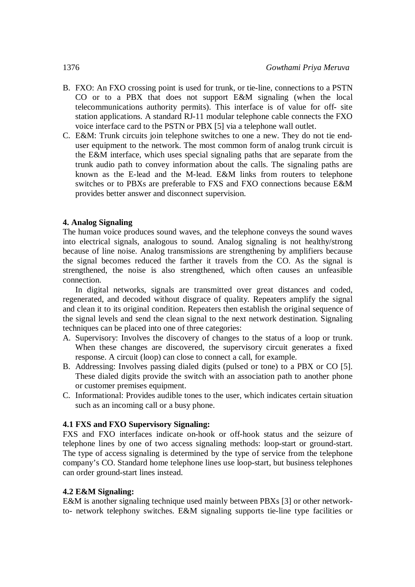- B. FXO: An FXO crossing point is used for trunk, or tie-line, connections to a PSTN CO or to a PBX that does not support E&M signaling (when the local telecommunications authority permits). This interface is of value for off- site station applications. A standard RJ-11 modular telephone cable connects the FXO voice interface card to the PSTN or PBX [5] via a telephone wall outlet.
- C. E&M: Trunk circuits join telephone switches to one a new. They do not tie enduser equipment to the network. The most common form of analog trunk circuit is the E&M interface, which uses special signaling paths that are separate from the trunk audio path to convey information about the calls. The signaling paths are known as the E-lead and the M-lead. E&M links from routers to telephone switches or to PBXs are preferable to FXS and FXO connections because E&M provides better answer and disconnect supervision.

### **4. Analog Signaling**

The human voice produces sound waves, and the telephone conveys the sound waves into electrical signals, analogous to sound. Analog signaling is not healthy/strong because of line noise. Analog transmissions are strengthening by amplifiers because the signal becomes reduced the farther it travels from the CO. As the signal is strengthened, the noise is also strengthened, which often causes an unfeasible connection.

In digital networks, signals are transmitted over great distances and coded, regenerated, and decoded without disgrace of quality. Repeaters amplify the signal and clean it to its original condition. Repeaters then establish the original sequence of the signal levels and send the clean signal to the next network destination. Signaling techniques can be placed into one of three categories:

- A. Supervisory: Involves the discovery of changes to the status of a loop or trunk. When these changes are discovered, the supervisory circuit generates a fixed response. A circuit (loop) can close to connect a call, for example.
- B. Addressing: Involves passing dialed digits (pulsed or tone) to a PBX or CO [5]. These dialed digits provide the switch with an association path to another phone or customer premises equipment.
- C. Informational: Provides audible tones to the user, which indicates certain situation such as an incoming call or a busy phone.

### **4.1 FXS and FXO Supervisory Signaling:**

FXS and FXO interfaces indicate on-hook or off-hook status and the seizure of telephone lines by one of two access signaling methods: loop-start or ground-start. The type of access signaling is determined by the type of service from the telephone company's CO. Standard home telephone lines use loop-start, but business telephones can order ground-start lines instead.

### **4.2 E&M Signaling:**

E&M is another signaling technique used mainly between PBXs [3] or other networkto- network telephony switches. E&M signaling supports tie-line type facilities or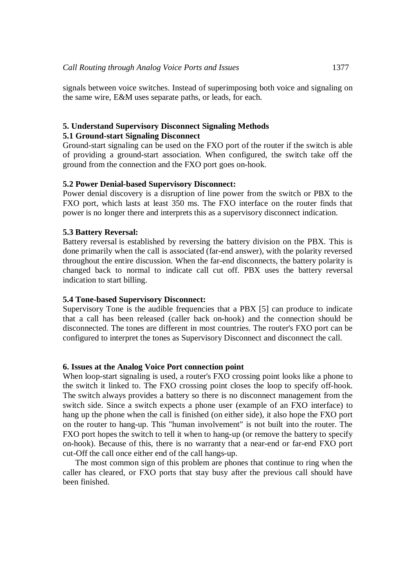signals between voice switches. Instead of superimposing both voice and signaling on the same wire, E&M uses separate paths, or leads, for each.

#### **5. Understand Supervisory Disconnect Signaling Methods 5.1 Ground-start Signaling Disconnect**

Ground-start signaling can be used on the FXO port of the router if the switch is able of providing a ground-start association. When configured, the switch take off the ground from the connection and the FXO port goes on-hook.

### **5.2 Power Denial-based Supervisory Disconnect:**

Power denial discovery is a disruption of line power from the switch or PBX to the FXO port, which lasts at least 350 ms. The FXO interface on the router finds that power is no longer there and interprets this as a supervisory disconnect indication.

#### **5.3 Battery Reversal:**

Battery reversal is established by reversing the battery division on the PBX. This is done primarily when the call is associated (far-end answer), with the polarity reversed throughout the entire discussion. When the far-end disconnects, the battery polarity is changed back to normal to indicate call cut off. PBX uses the battery reversal indication to start billing.

#### **5.4 Tone-based Supervisory Disconnect:**

Supervisory Tone is the audible frequencies that a PBX [5] can produce to indicate that a call has been released (caller back on-hook) and the connection should be disconnected. The tones are different in most countries. The router's FXO port can be configured to interpret the tones as Supervisory Disconnect and disconnect the call.

#### **6. Issues at the Analog Voice Port connection point**

When loop-start signaling is used, a router's FXO crossing point looks like a phone to the switch it linked to. The FXO crossing point closes the loop to specify off-hook. The switch always provides a battery so there is no disconnect management from the switch side. Since a switch expects a phone user (example of an FXO interface) to hang up the phone when the call is finished (on either side), it also hope the FXO port on the router to hang-up. This "human involvement" is not built into the router. The FXO port hopes the switch to tell it when to hang-up (or remove the battery to specify on-hook). Because of this, there is no warranty that a near-end or far-end FXO port cut-Off the call once either end of the call hangs-up.

The most common sign of this problem are phones that continue to ring when the caller has cleared, or FXO ports that stay busy after the previous call should have been finished.